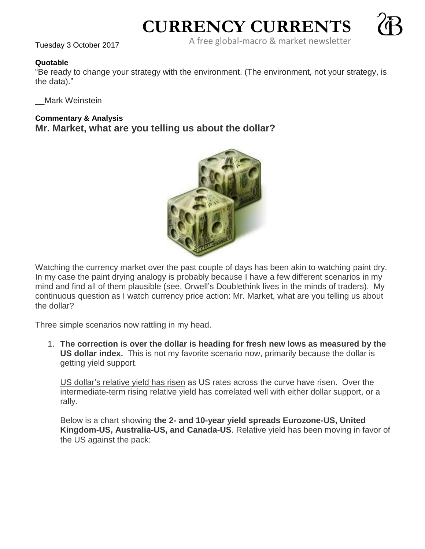**CURRENCY CURRENTS**



A free global-macro & market newsletter Tuesday 3 October <sup>2017</sup>

## **Quotable**

"Be ready to change your strategy with the environment. (The environment, not your strategy, is the data)."

\_\_Mark Weinstein

## **Commentary & Analysis**

**Mr. Market, what are you telling us about the dollar?**



Watching the currency market over the past couple of days has been akin to watching paint dry. In my case the paint drying analogy is probably because I have a few different scenarios in my mind and find all of them plausible (see, Orwell's Doublethink lives in the minds of traders). My continuous question as I watch currency price action: Mr. Market, what are you telling us about the dollar?

Three simple scenarios now rattling in my head.

1. **The correction is over the dollar is heading for fresh new lows as measured by the US dollar index.** This is not my favorite scenario now, primarily because the dollar is getting yield support.

US dollar's relative yield has risen as US rates across the curve have risen. Over the intermediate-term rising relative yield has correlated well with either dollar support, or a rally.

Below is a chart showing **the 2- and 10-year yield spreads Eurozone-US, United Kingdom-US, Australia-US, and Canada-US**. Relative yield has been moving in favor of the US against the pack: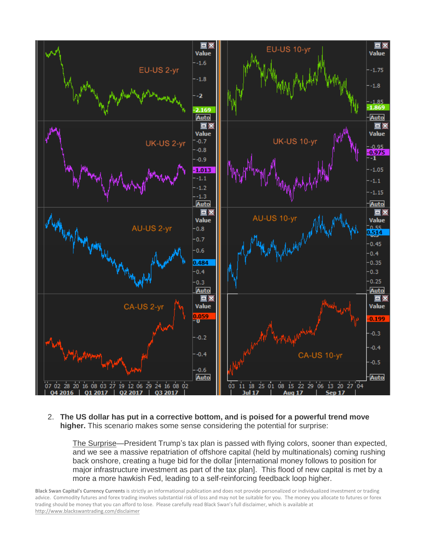

2. **The US dollar has put in a corrective bottom, and is poised for a powerful trend move higher.** This scenario makes some sense considering the potential for surprise:

The Surprise—President Trump's tax plan is passed with flying colors, sooner than expected, and we see a massive repatriation of offshore capital (held by multinationals) coming rushing back onshore, creating a huge bid for the dollar [international money follows to position for major infrastructure investment as part of the tax plan]. This flood of new capital is met by a more a more hawkish Fed, leading to a self-reinforcing feedback loop higher.

**Black Swan Capital's Currency Currents** is strictly an informational publication and does not provide personalized or individualized investment or trading advice. Commodity futures and forex trading involves substantial risk of loss and may not be suitable for you. The money you allocate to futures or forex trading should be money that you can afford to lose. Please carefully read Black Swan's full disclaimer, which is available at <http://www.blackswantrading.com/disclaimer>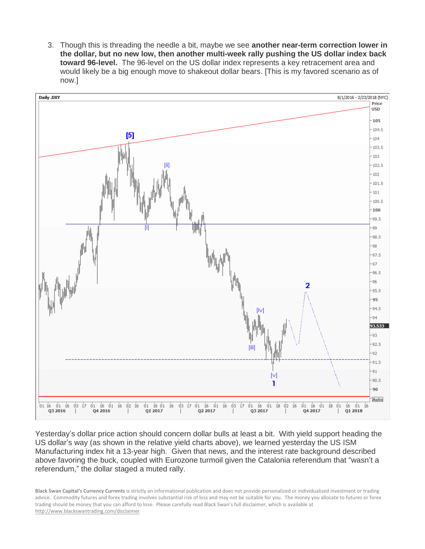3. Though this is threading the needle a bit, maybe we see **another near-term correction lower in the dollar, but no new low, then another multi-week rally pushing the US dollar index back toward 96-level.** The 96-level on the US dollar index represents a key retracement area and would likely be a big enough move to shakeout dollar bears. [This is my favored scenario as of now.]



Yesterday's dollar price action should concern dollar bulls at least a bit. With yield support heading the US dollar's way (as shown in the relative yield charts above), we learned yesterday the US ISM Manufacturing index hit a 13-year high. Given that news, and the interest rate background described above favoring the buck, coupled with Eurozone turmoil given the Catalonia referendum that "wasn't a referendum," the dollar staged a muted rally.

**Black Swan Capital's Currency Currents** is strictly an informational publication and does not provide personalized or individualized investment or trading advice. Commodity futures and forex trading involves substantial risk of loss and may not be suitable for you. The money you allocate to futures or forex trading should be money that you can afford to lose. Please carefully read Black Swan's full disclaimer, which is available at <http://www.blackswantrading.com/disclaimer>